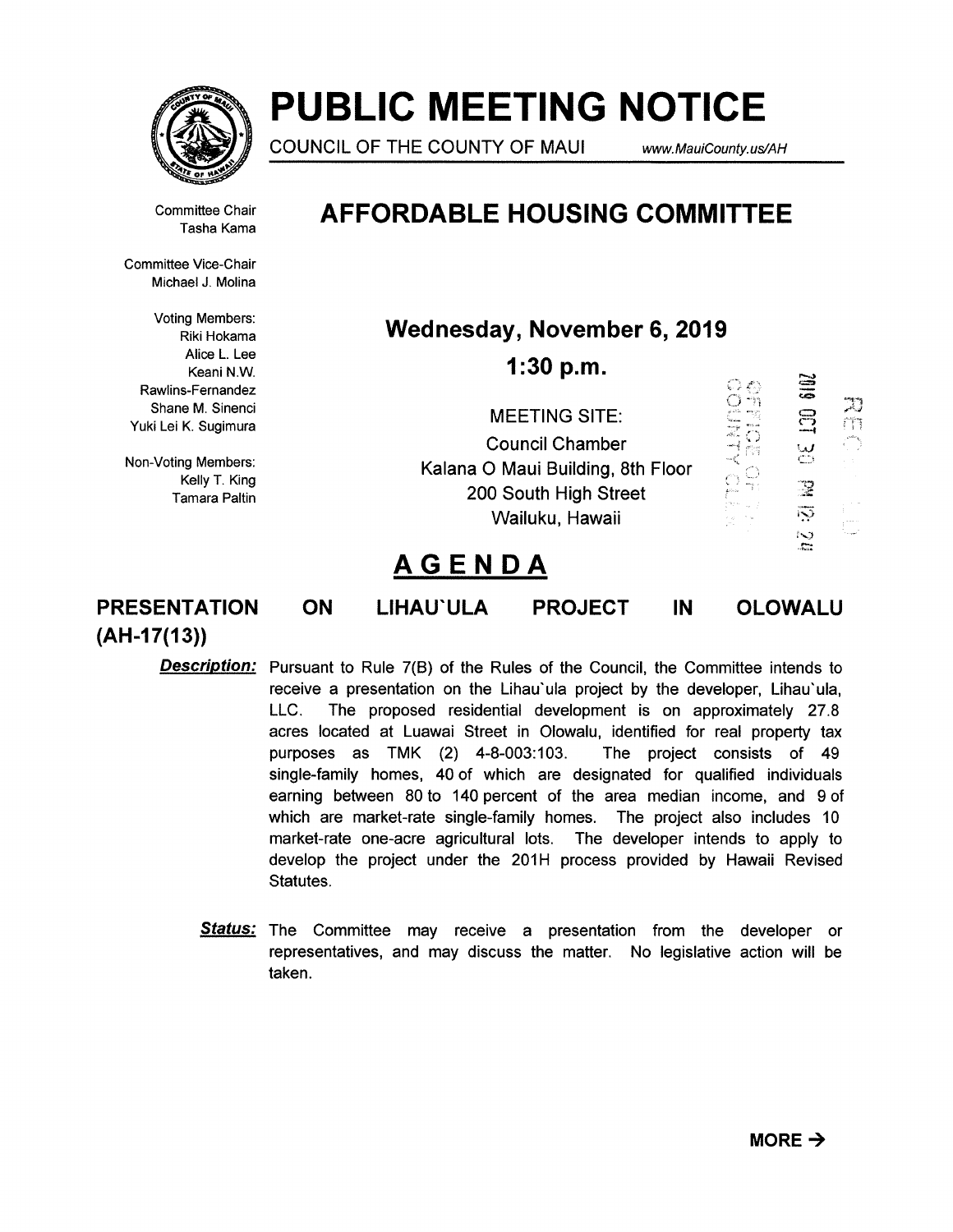

# PUBLIC MEETING NOTICE

COUNCIL OF THE COUNTY OF MAUI www.MauiCounty.us/AH

Committee Chair Tasha Kama

## AFFORDABLE HOUSING COMMITTEE

Committee Vice-Chair Michael J. Molina

Voting Members: Riki Hokama Alice L. Lee Keani N.W. Rawlins-Fernandez Shane M. Sinenci Yuki Lei K. Sugimura

Non-Voting Members: Kelly T. King **Tamara Paltin**  Wednesday, November 6, 2019

1:30 p.m.

|                                   | 一致 |                          |  |
|-----------------------------------|----|--------------------------|--|
| <b>MEETING SITE:</b>              |    |                          |  |
| <b>Council Chamber</b>            |    | مدا                      |  |
| Kalana O Maui Building, 8th Floor |    | ومنتع                    |  |
| 200 South High Street             |    |                          |  |
| Wailuku, Hawaii                   |    | $\overline{\mathcal{S}}$ |  |
|                                   |    | N                        |  |

## AGENDA

PRESENTATION ON LIHAU'ULA PROJECT IN OLOWALU  $(AH-17(13))$ 

 $\Xi$ 

C) 43

Description: Pursuant to Rule 7(B) of the Rules of the Council, the Committee intends to receive a presentation on the Lihau'ula project by the developer, Lihau'ula, LLC. The proposed residential development is on approximately 27.8 acres located at Luawai Street in Olowalu, identified for real property tax purposes as TMK (2) 4-8-003:103. The project consists of 49 single-family homes, 40 of which are designated for qualified individuals earning between 80 to 140 percent of the area median income, and 9 of which are market-rate single-family homes. The project also includes 10 market-rate one-acre agricultural lots. The developer intends to apply to develop the project under the 201H process provided by Hawaii Revised Statutes.

**Status:** The Committee may receive a presentation from the developer or representatives, and may discuss the matter. No legislative action will be taken.